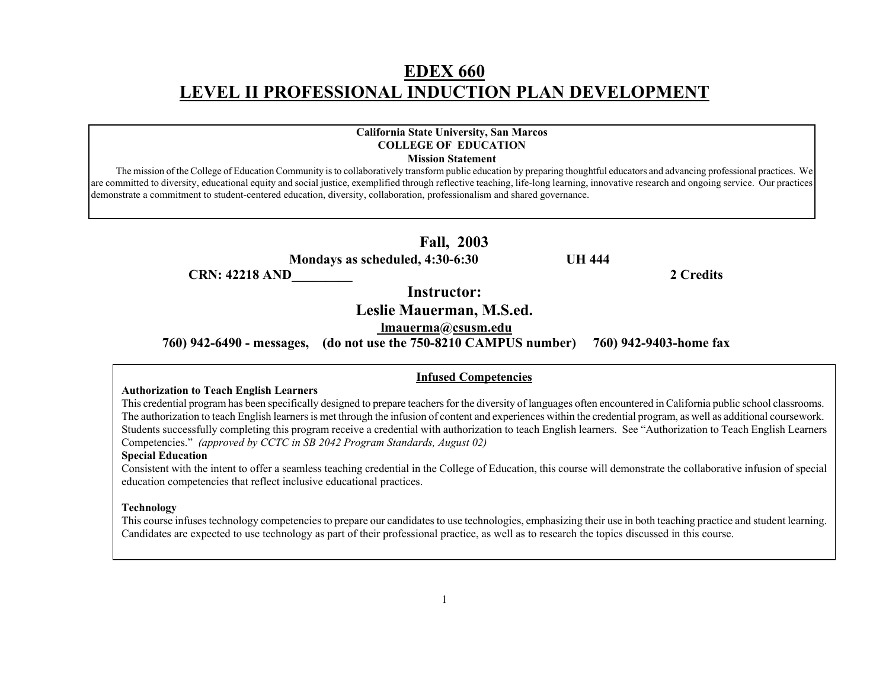# **EDEX 660 LEVEL II PROFESSIONAL INDUCTION PLAN DEVELOPMENT**

## **California State University, San Marcos COLLEGE OF EDUCATION**

**Mission Statement** 

 The mission of the College of Education Community is to collaboratively transform public education by preparing thoughtful educators and advancing professional practices. We are committed to diversity, educational equity and social justice, exemplified through reflective teaching, life-long learning, innovative research and ongoing service. Our practices demonstrate a commitment to student-centered education, diversity, collaboration, professionalism and shared governance.

#### **Fall, 2003**

 **Mondays as scheduled, 4:30-6:30 UH 444** 

**CRN: 42218 AND 2 Credits 2** 

**Instructor:** 

**Leslie Mauerman, M.S.ed.** 

**lmauerma@csusm.edu**

 **760) 942-6490 - messages, (do not use the 750-8210 CAMPUS number) 760) 942-9403-home fax** 

#### **Infused Competencies**

#### **Authorization to Teach English Learners**

This credential program has been specifically designed to prepare teachers for the diversity of languages often encountered in California public school classrooms. The authorization to teach English learners is met through the infusion of content and experiences within the credential program, as well as additional coursework. Students successfully completing this program receive a credential with authorization to teach English learners. See "Authorization to Teach English Learners Competencies." *(approved by CCTC in SB 2042 Program Standards, August 02)* 

#### **Special Education**

Consistent with the intent to offer a seamless teaching credential in the College of Education, this course will demonstrate the collaborative infusion of special education competencies that reflect inclusive educational practices.

#### **Technology**

This course infuses technology competencies to prepare our candidates to use technologies, emphasizing their use in both teaching practice and student learning. Candidates are expected to use technology as part of their professional practice, as well as to research the topics discussed in this course.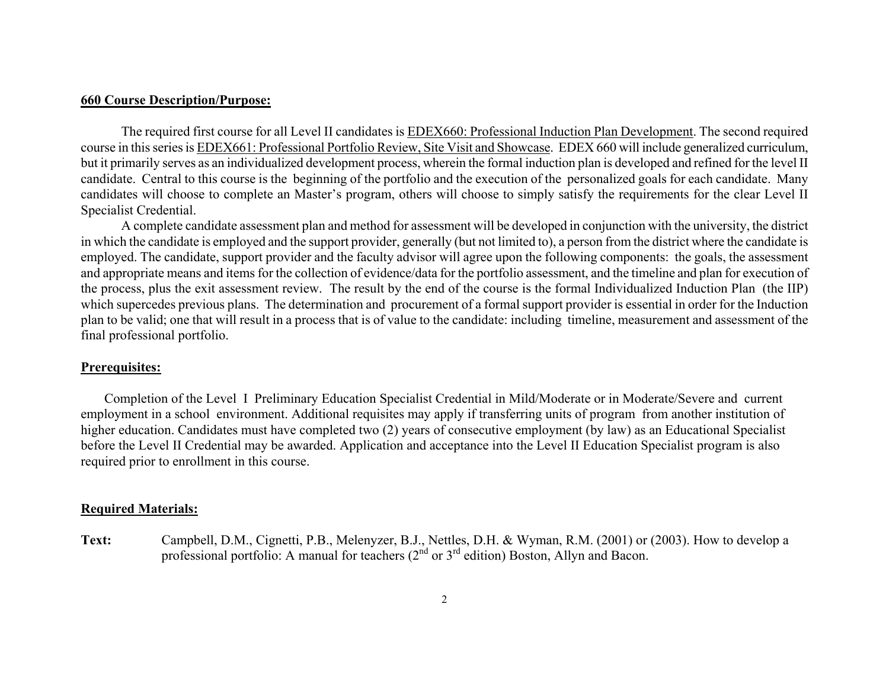#### **660 Course Description/Purpose:**

The required first course for all Level II candidates is EDEX660: Professional Induction Plan Development. The second required course in this series is EDEX661: Professional Portfolio Review, Site Visit and Showcase. EDEX 660 will include generalized curriculum, but it primarily serves as an individualized development process, wherein the formal induction plan is developed and refined for the level II candidate. Central to this course is the beginning of the portfolio and the execution of the personalized goals for each candidate. Many candidates will choose to complete an Master's program, others will choose to simply satisfy the requirements for the clear Level II Specialist Credential.

A complete candidate assessment plan and method for assessment will be developed in conjunction with the university, the district in which the candidate is employed and the support provider, generally (but not limited to), a person from the district where the candidate is employed. The candidate, support provider and the faculty advisor will agree upon the following components: the goals, the assessment and appropriate means and items for the collection of evidence/data for the portfolio assessment, and the timeline and plan for execution of the process, plus the exit assessment review. The result by the end of the course is the formal Individualized Induction Plan (the IIP) which supercedes previous plans. The determination and procurement of a formal support provider is essential in order for the Induction plan to be valid; one that will result in a process that is of value to the candidate: including timeline, measurement and assessment of the final professional portfolio.

### **Prerequisites:**

 Completion of the Level I Preliminary Education Specialist Credential in Mild/Moderate or in Moderate/Severe and current employment in a school environment. Additional requisites may apply if transferring units of program from another institution of higher education. Candidates must have completed two (2) years of consecutive employment (by law) as an Educational Specialist before the Level II Credential may be awarded. Application and acceptance into the Level II Education Specialist program is also required prior to enrollment in this course.

#### **Required Materials:**

**Text:** Campbell, D.M., Cignetti, P.B., Melenyzer, B.J., Nettles, D.H. & Wyman, R.M. (2001) or (2003). How to develop a professional portfolio: A manual for teachers (2<sup>nd</sup> or 3<sup>rd</sup> edition) Boston, Allyn and Bacon.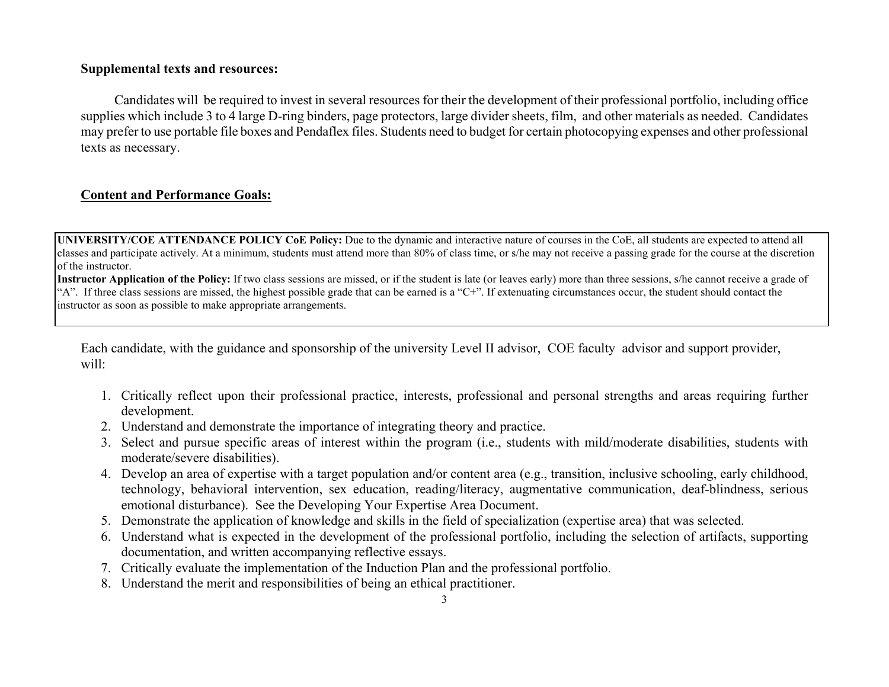## **Supplemental texts and resources:**

 Candidates will be required to invest in several resources for their the development of their professional portfolio, including office supplies which include 3 to 4 large D-ring binders, page protectors, large divider sheets, film, and other materials as needed. Candidates may prefer to use portable file boxes and Pendaflex files. Students need to budget for certain photocopying expenses and other professional texts as necessary.

## **Content and Performance Goals:**

**UNIVERSITY/COE ATTENDANCE POLICY CoE Policy:** Due to the dynamic and interactive nature of courses in the CoE, all students are expected to attend all classes and participate actively. At a minimum, students must attend more than 80% of class time, or s/he may not receive a passing grade for the course at the discretion of the instructor.

**Instructor Application of the Policy:** If two class sessions are missed, or if the student is late (or leaves early) more than three sessions, s/he cannot receive a grade of "A". If three class sessions are missed, the highest possible grade that can be earned is a "C+". If extenuating circumstances occur, the student should contact the instructor as soon as possible to make appropriate arrangements.

Each candidate, with the guidance and sponsorship of the university Level II advisor, COE faculty advisor and support provider, will:

- 1. Critically reflect upon their professional practice, interests, professional and personal strengths and areas requiring further development.
- 2. Understand and demonstrate the importance of integrating theory and practice.
- 3. Select and pursue specific areas of interest within the program (i.e., students with mild/moderate disabilities, students with moderate/severe disabilities).
- 4. Develop an area of expertise with a target population and/or content area (e.g., transition, inclusive schooling, early childhood, technology, behavioral intervention, sex education, reading/literacy, augmentative communication, deaf-blindness, serious emotional disturbance). See the Developing Your Expertise Area Document.
- 5. Demonstrate the application of knowledge and skills in the field of specialization (expertise area) that was selected.
- 6. Understand what is expected in the development of the professional portfolio, including the selection of artifacts, supporting documentation, and written accompanying reflective essays.
- 7. Critically evaluate the implementation of the Induction Plan and the professional portfolio.
- 8. Understand the merit and responsibilities of being an ethical practitioner.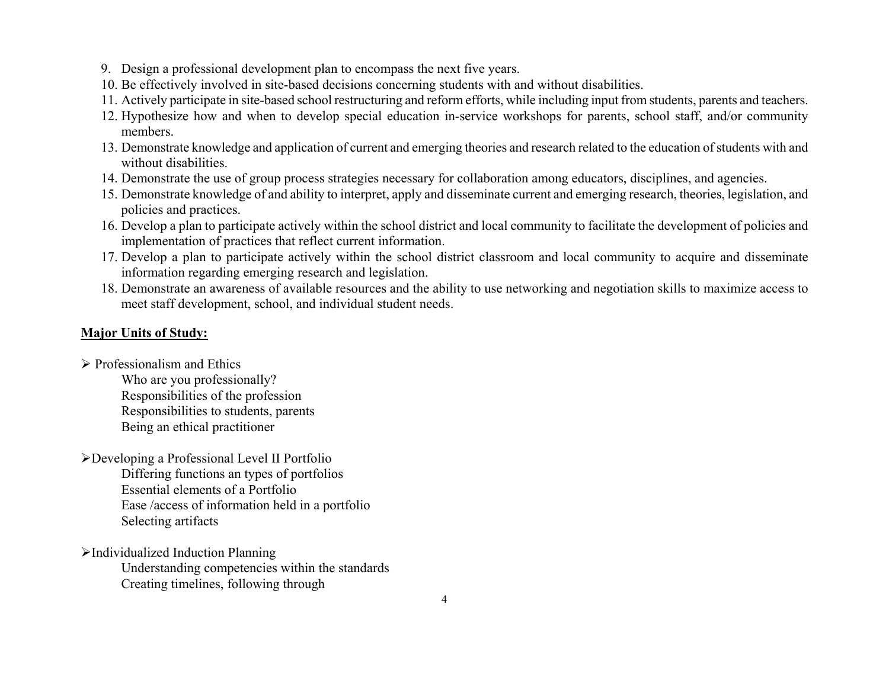- 9. Design a professional development plan to encompass the next five years.
- 10. Be effectively involved in site-based decisions concerning students with and without disabilities.
- 11. Actively participate in site-based school restructuring and reform efforts, while including input from students, parents and teachers.
- 12. Hypothesize how and when to develop special education in-service workshops for parents, school staff, and/or community members.
- 13. Demonstrate knowledge and application of current and emerging theories and research related to the education of students with and without disabilities.
- 14. Demonstrate the use of group process strategies necessary for collaboration among educators, disciplines, and agencies.
- 15. Demonstrate knowledge of and ability to interpret, apply and disseminate current and emerging research, theories, legislation, and policies and practices.
- 16. Develop a plan to participate actively within the school district and local community to facilitate the development of policies and implementation of practices that reflect current information.
- 17. Develop a plan to participate actively within the school district classroom and local community to acquire and disseminate information regarding emerging research and legislation.
- 18. Demonstrate an awareness of available resources and the ability to use networking and negotiation skills to maximize access to meet staff development, school, and individual student needs.

## **Major Units of Study:**

- $\triangleright$  Professionalism and Ethics Who are you professionally? Responsibilities of the profession Responsibilities to students, parents Being an ethical practitioner
- ¾Developing a Professional Level II Portfolio Differing functions an types of portfolios Essential elements of a Portfolio Ease /access of information held in a portfolio Selecting artifacts
- ¾Individualized Induction Planning Understanding competencies within the standards Creating timelines, following through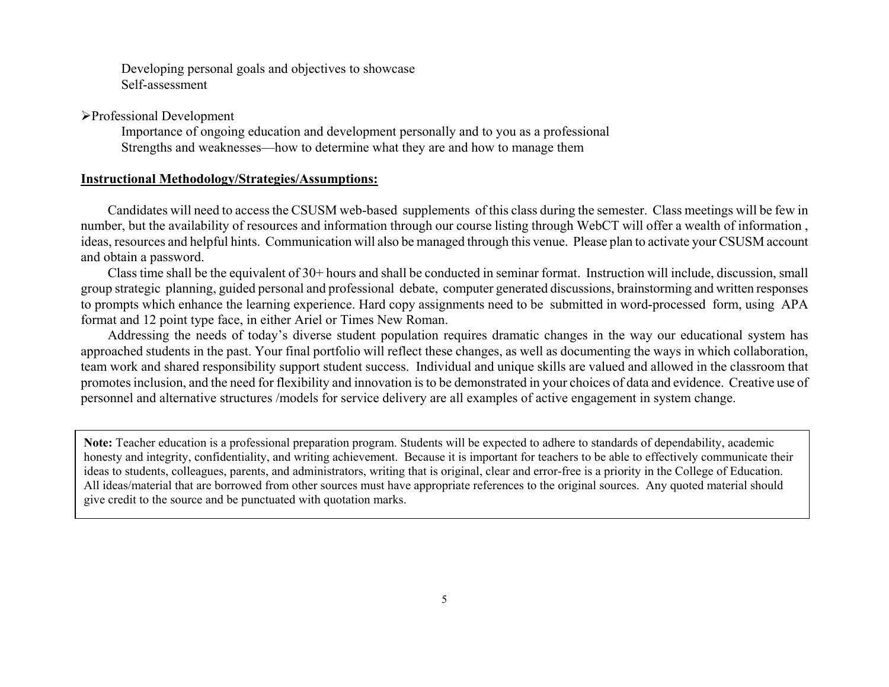Developing personal goals and objectives to showcase Self-assessment

¾Professional Development

 Importance of ongoing education and development personally and to you as a professional Strengths and weaknesses—how to determine what they are and how to manage them

#### **Instructional Methodology/Strategies/Assumptions:**

 Candidates will need to access the CSUSM web-based supplements of this class during the semester. Class meetings will be few in number, but the availability of resources and information through our course listing through WebCT will offer a wealth of information , ideas, resources and helpful hints. Communication will also be managed through this venue. Please plan to activate your CSUSM account and obtain a password.

 Class time shall be the equivalent of 30+ hours and shall be conducted in seminar format. Instruction will include, discussion, small group strategic planning, guided personal and professional debate, computer generated discussions, brainstorming and written responses to prompts which enhance the learning experience. Hard copy assignments need to be submitted in word-processed form, using APA format and 12 point type face, in either Ariel or Times New Roman.

 Addressing the needs of today's diverse student population requires dramatic changes in the way our educational system has approached students in the past. Your final portfolio will reflect these changes, as well as documenting the ways in which collaboration, team work and shared responsibility support student success. Individual and unique skills are valued and allowed in the classroom that promotes inclusion, and the need for flexibility and innovation is to be demonstrated in your choices of data and evidence. Creative use of personnel and alternative structures /models for service delivery are all examples of active engagement in system change.

**Note:** Teacher education is a professional preparation program. Students will be expected to adhere to standards of dependability, academic honesty and integrity, confidentiality, and writing achievement. Because it is important for teachers to be able to effectively communicate their ideas to students, colleagues, parents, and administrators, writing that is original, clear and error-free is a priority in the College of Education. All ideas/material that are borrowed from other sources must have appropriate references to the original sources. Any quoted material should give credit to the source and be punctuated with quotation marks.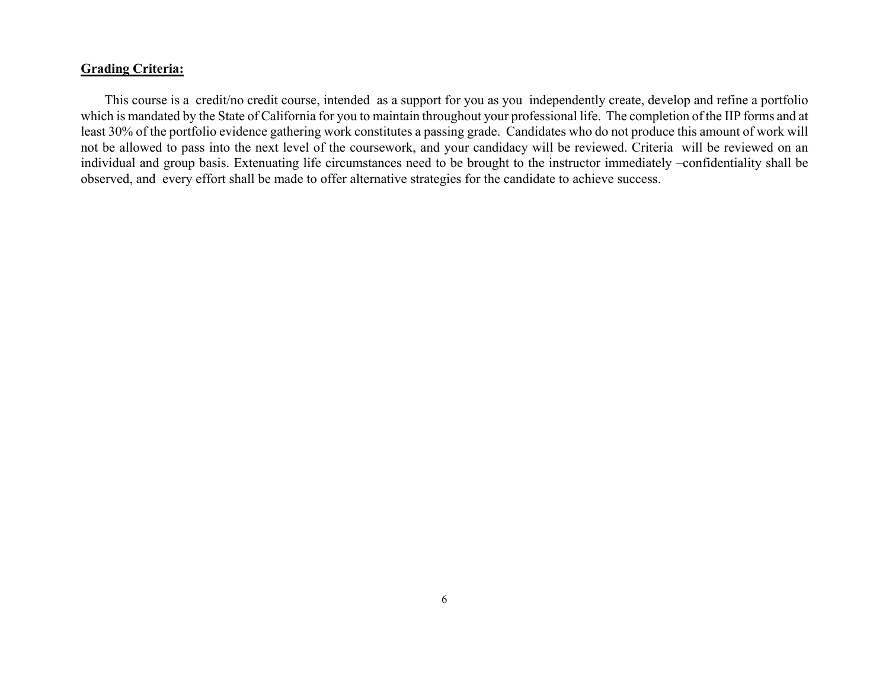## **Grading Criteria:**

 This course is a credit/no credit course, intended as a support for you as you independently create, develop and refine a portfolio which is mandated by the State of California for you to maintain throughout your professional life. The completion of the IIP forms and at least 30% of the portfolio evidence gathering work constitutes a passing grade. Candidates who do not produce this amount of work will not be allowed to pass into the next level of the coursework, and your candidacy will be reviewed. Criteria will be reviewed on an individual and group basis. Extenuating life circumstances need to be brought to the instructor immediately –confidentiality shall be observed, and every effort shall be made to offer alternative strategies for the candidate to achieve success.